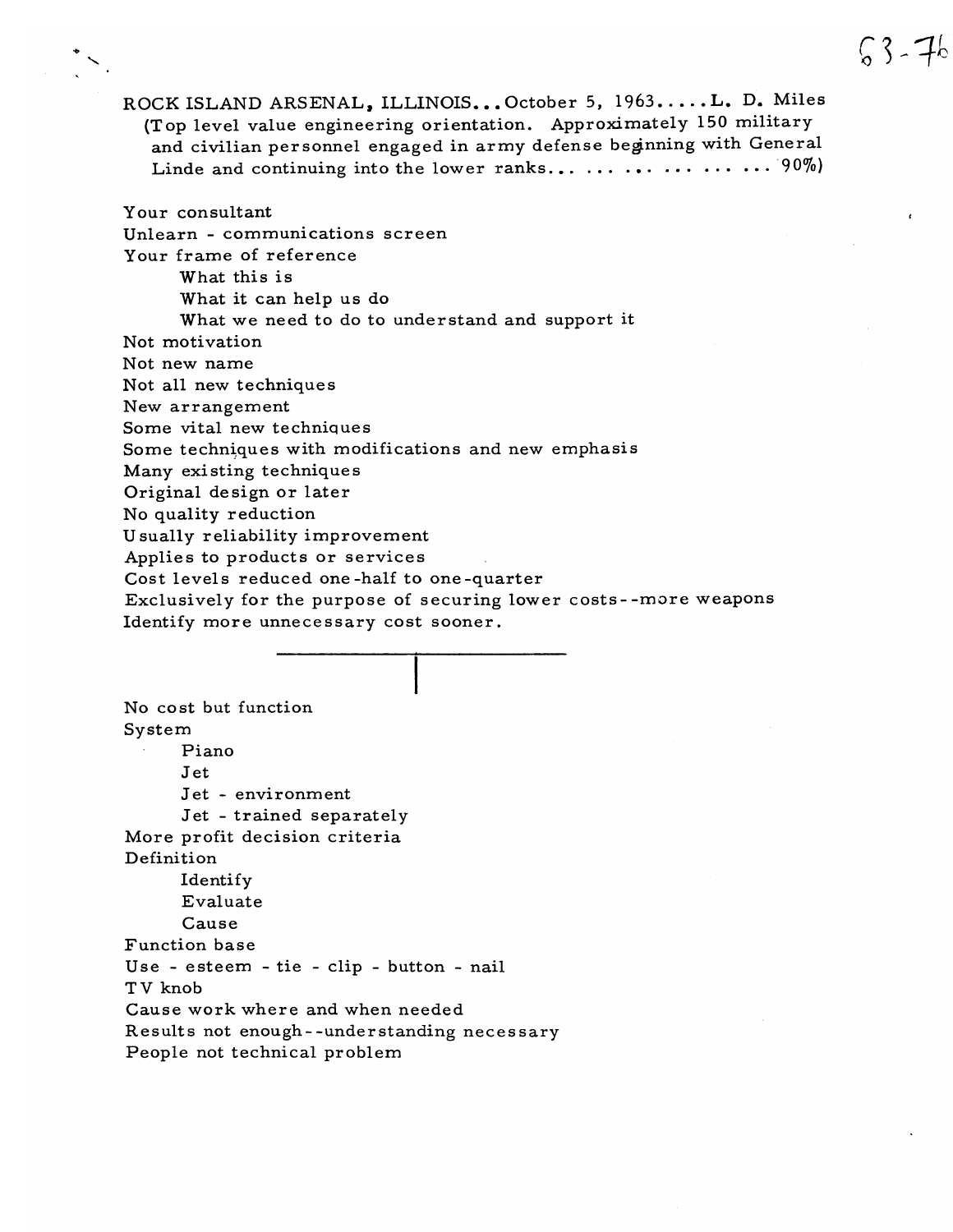ROCK ISLAND ARSENAL, ILLINOIS... October 5, 1963.....L. D. Miles (Top level value engineering orientation. Approximately 150 military and civilian personnel engaged in army defense beginning with General Linde and continuing into the lower ranks... ... ... ... ... ... 90%)

Your consultant Unlearn - communications screen Your frame of reference What this is What it can help us do What we need to do to understand and support it Not motivation Not new name Not all new techniques New arrangement Some vital new techniques Some techniques with modifications and new emphasis Many existing techniques Original design or later No quality reduction Usually reliability improvement Applies to products or services Cost levels reduced one-half to one-quarter Exclusively for the purpose of securing lower costs--more weapons Identify more unnecessary cost sooner.

No cost but function System Piano Jet Jet - environment Jet - trained separately More profit decision criteria Definition Identify Evaluate Cause Function base Use - esteem - tie - clip - button - nail TV knob Cause work where and when needed Results not enough--understanding necessary People not technical problem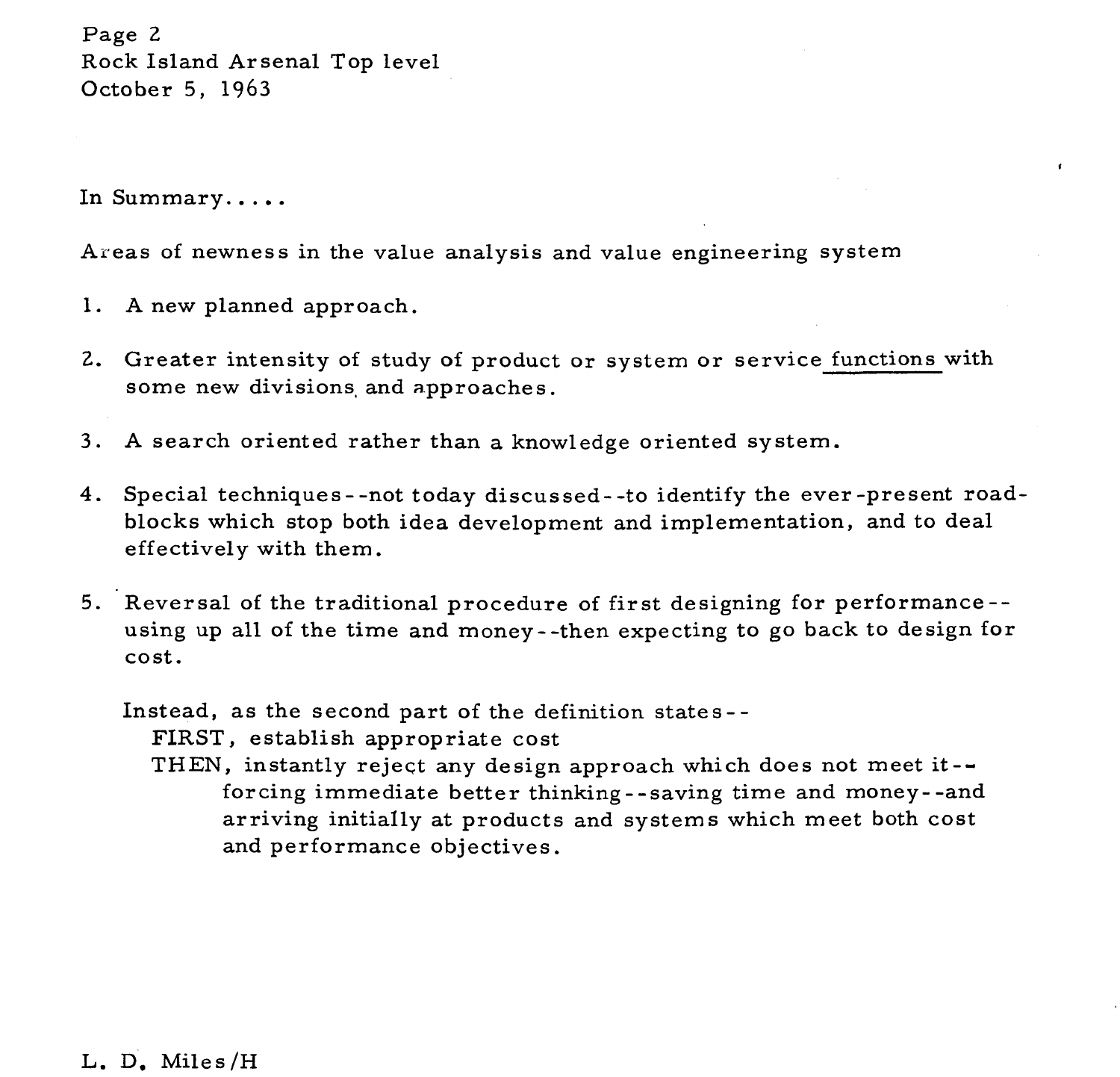Page 2 Rock Island Arsenal Top level October 5, 1963

In Summary. . . . .

Areas of newness in the value analysis and value engineering system

- **A** new planned approach.
- 2. Greater intensity of study of product or system or service functions with some new divisions and approaches.
- **A** search oriented rather than a knowledge oriented system.
- 4. Special techniques --not today discussed -- to identify the ever-present roadblocks which stop both idea development and implementation, and to deal effectively with them.
- Reversal of the traditional procedure of first designing for performance- using up all of the time and money- -then expecting to go back to design for cost.

Instead, as the second part of the definition states - - FIRST, establish appropriate cost

THEN, instantly reject any design approach which does not meet it - forcing immediate better thinking - -saving time and money- -and arriving initially at products and systems which meet both cost and performance objectives.